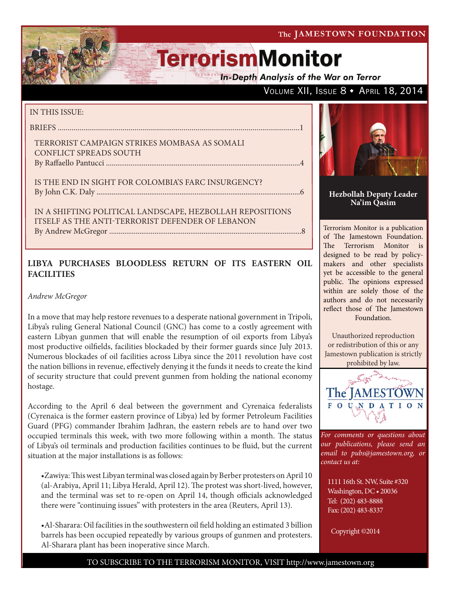The JAMESTOWN FOUNDATION

# **TerrorismMonitor**

**In-Depth Analysis of the War on Terror** 

# VOLUME XII, ISSUE 8 + APRIL 18, 2014

### IN THIS ISSUE:

briefs ...........................................................................................................................1

#### Terrorist Campaign Strikes Mombasa as Somali CONFLICT SPREADS SOUTH By Raffaello Pantucci .......................................................................................................4

Is the End in Sight for Colombia's FARC Insurgency? by John C.K. Daly ............................................................................................................6

In a Shifting Political Landscape, Hezbollah Repositions ITSELF AS THE ANTI-TERRORIST DEFENDER OF LEBANON By Andrew McGregor ......................................................................................................8

## **LIBYA PURCHASES BLOODLESS RETURN OF ITS EASTERN OIL FACILITIES**

*Andrew McGregor*

In a move that may help restore revenues to a desperate national government in Tripoli, Libya's ruling General National Council (GNC) has come to a costly agreement with eastern Libyan gunmen that will enable the resumption of oil exports from Libya's most productive oilfields, facilities blockaded by their former guards since July 2013. Numerous blockades of oil facilities across Libya since the 2011 revolution have cost the nation billions in revenue, effectively denying it the funds it needs to create the kind of security structure that could prevent gunmen from holding the national economy hostage.

According to the April 6 deal between the government and Cyrenaica federalists (Cyrenaica is the former eastern province of Libya) led by former Petroleum Facilities Guard (PFG) commander Ibrahim Jadhran, the eastern rebels are to hand over two occupied terminals this week, with two more following within a month. The status of Libya's oil terminals and production facilities continues to be fluid, but the current situation at the major installations is as follows:

•Zawiya: This west Libyan terminal was closed again by Berber protesters on April 10 (al-Arabiya, April 11; Libya Herald, April 12). The protest was short-lived, however, and the terminal was set to re-open on April 14, though officials acknowledged there were "continuing issues" with protesters in the area (Reuters, April 13).

•Al-Sharara: Oil facilities in the southwestern oil field holding an estimated 3 billion barrels has been occupied repeatedly by various groups of gunmen and protesters. Al-Sharara plant has been inoperative since March.



#### **Hezbollah Deputy Leader Na'im Qasim**

Terrorism Monitor is a publication of The Jamestown Foundation. The Terrorism Monitor is designed to be read by policymakers and other specialists yet be accessible to the general public. The opinions expressed within are solely those of the authors and do not necessarily reflect those of The Jamestown Foundation.

Unauthorized reproduction or redistribution of this or any Jamestown publication is strictly prohibited by law.



*For comments or questions about our publications, please send an email to pubs@jamestown.org, or contact us at:* 

1111 16th St. NW, Suite #320 Washington, DC • 20036 Tel: (202) 483-8888 Fax: (202) 483-8337

Copyright ©2014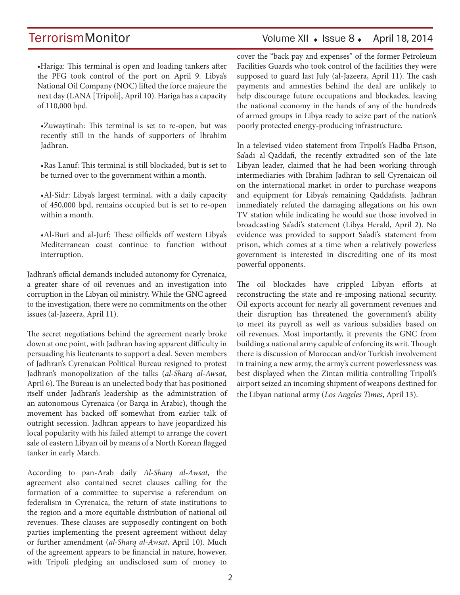# TerrorismMonitor Volume XII + Issue 8 + April 18, 2014

•Hariga: This terminal is open and loading tankers after the PFG took control of the port on April 9. Libya's National Oil Company (NOC) lifted the force majeure the next day (LANA [Tripoli], April 10). Hariga has a capacity of 110,000 bpd.

•Zuwaytinah: This terminal is set to re-open, but was recently still in the hands of supporters of Ibrahim Jadhran.

•Ras Lanuf: This terminal is still blockaded, but is set to be turned over to the government within a month.

•Al-Sidr: Libya's largest terminal, with a daily capacity of 450,000 bpd, remains occupied but is set to re-open within a month.

•Al-Buri and al-Jurf: These oilfields off western Libya's Mediterranean coast continue to function without interruption.

Jadhran's official demands included autonomy for Cyrenaica, a greater share of oil revenues and an investigation into corruption in the Libyan oil ministry. While the GNC agreed to the investigation, there were no commitments on the other issues (al-Jazeera, April 11).

The secret negotiations behind the agreement nearly broke down at one point, with Jadhran having apparent difficulty in persuading his lieutenants to support a deal. Seven members of Jadhran's Cyrenaican Political Bureau resigned to protest Jadhran's monopolization of the talks (*al-Sharq al-Awsat*, April 6). The Bureau is an unelected body that has positioned itself under Jadhran's leadership as the administration of an autonomous Cyrenaica (or Barqa in Arabic), though the movement has backed off somewhat from earlier talk of outright secession. Jadhran appears to have jeopardized his local popularity with his failed attempt to arrange the covert sale of eastern Libyan oil by means of a North Korean flagged tanker in early March.

According to pan-Arab daily *Al-Sharq al-Awsat*, the agreement also contained secret clauses calling for the formation of a committee to supervise a referendum on federalism in Cyrenaica, the return of state institutions to the region and a more equitable distribution of national oil revenues. These clauses are supposedly contingent on both parties implementing the present agreement without delay or further amendment (*al-Sharq al-Awsat*, April 10). Much of the agreement appears to be financial in nature, however, with Tripoli pledging an undisclosed sum of money to cover the "back pay and expenses" of the former Petroleum Facilities Guards who took control of the facilities they were supposed to guard last July (al-Jazeera, April 11). The cash payments and amnesties behind the deal are unlikely to help discourage future occupations and blockades, leaving the national economy in the hands of any of the hundreds of armed groups in Libya ready to seize part of the nation's poorly protected energy-producing infrastructure.

In a televised video statement from Tripoli's Hadba Prison, Sa'adi al-Qaddafi, the recently extradited son of the late Libyan leader, claimed that he had been working through intermediaries with Ibrahim Jadhran to sell Cyrenaican oil on the international market in order to purchase weapons and equipment for Libya's remaining Qaddafists. Jadhran immediately refuted the damaging allegations on his own TV station while indicating he would sue those involved in broadcasting Sa'adi's statement (Libya Herald, April 2). No evidence was provided to support Sa'adi's statement from prison, which comes at a time when a relatively powerless government is interested in discrediting one of its most powerful opponents.

The oil blockades have crippled Libyan efforts at reconstructing the state and re-imposing national security. Oil exports account for nearly all government revenues and their disruption has threatened the government's ability to meet its payroll as well as various subsidies based on oil revenues. Most importantly, it prevents the GNC from building a national army capable of enforcing its writ. Though there is discussion of Moroccan and/or Turkish involvement in training a new army, the army's current powerlessness was best displayed when the Zintan militia controlling Tripoli's airport seized an incoming shipment of weapons destined for the Libyan national army (*Los Angeles Times*, April 13).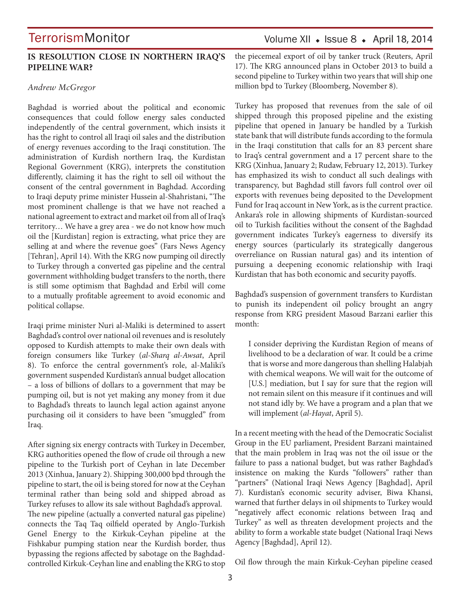### **IS RESOLUTION CLOSE IN NORTHERN IRAQ'S PIPELINE WAR?**

#### *Andrew McGregor*

Baghdad is worried about the political and economic consequences that could follow energy sales conducted independently of the central government, which insists it has the right to control all Iraqi oil sales and the distribution of energy revenues according to the Iraqi constitution. The administration of Kurdish northern Iraq, the Kurdistan Regional Government (KRG), interprets the constitution differently, claiming it has the right to sell oil without the consent of the central government in Baghdad. According to Iraqi deputy prime minister Hussein al-Shahristani, "The most prominent challenge is that we have not reached a national agreement to extract and market oil from all of Iraq's territory… We have a grey area - we do not know how much oil the [Kurdistan] region is extracting, what price they are selling at and where the revenue goes" (Fars News Agency [Tehran], April 14). With the KRG now pumping oil directly to Turkey through a converted gas pipeline and the central government withholding budget transfers to the north, there is still some optimism that Baghdad and Erbil will come to a mutually profitable agreement to avoid economic and political collapse.

Iraqi prime minister Nuri al-Maliki is determined to assert Baghdad's control over national oil revenues and is resolutely opposed to Kurdish attempts to make their own deals with foreign consumers like Turkey (*al-Sharq al-Awsat*, April 8). To enforce the central government's role, al-Maliki's government suspended Kurdistan's annual budget allocation – a loss of billions of dollars to a government that may be pumping oil, but is not yet making any money from it due to Baghdad's threats to launch legal action against anyone purchasing oil it considers to have been "smuggled" from Iraq.

After signing six energy contracts with Turkey in December, KRG authorities opened the flow of crude oil through a new pipeline to the Turkish port of Ceyhan in late December 2013 (Xinhua, January 2). Shipping 300,000 bpd through the pipeline to start, the oil is being stored for now at the Ceyhan terminal rather than being sold and shipped abroad as Turkey refuses to allow its sale without Baghdad's approval. The new pipeline (actually a converted natural gas pipeline) connects the Taq Taq oilfield operated by Anglo-Turkish Genel Energy to the Kirkuk-Ceyhan pipeline at the Fishkabur pumping station near the Kurdish border, thus bypassing the regions affected by sabotage on the Baghdadcontrolled Kirkuk-Ceyhan line and enabling the KRG to stop

# Volume XII · Issue 8 · April 18, 2014

the piecemeal export of oil by tanker truck (Reuters, April 17). The KRG announced plans in October 2013 to build a second pipeline to Turkey within two years that will ship one million bpd to Turkey (Bloomberg, November 8).

Turkey has proposed that revenues from the sale of oil shipped through this proposed pipeline and the existing pipeline that opened in January be handled by a Turkish state bank that will distribute funds according to the formula in the Iraqi constitution that calls for an 83 percent share to Iraq's central government and a 17 percent share to the KRG (Xinhua, January 2; Rudaw, February 12, 2013). Turkey has emphasized its wish to conduct all such dealings with transparency, but Baghdad still favors full control over oil exports with revenues being deposited to the Development Fund for Iraq account in New York, as is the current practice. Ankara's role in allowing shipments of Kurdistan-sourced oil to Turkish facilities without the consent of the Baghdad government indicates Turkey's eagerness to diversify its energy sources (particularly its strategically dangerous overreliance on Russian natural gas) and its intention of pursuing a deepening economic relationship with Iraqi Kurdistan that has both economic and security payoffs.

Baghdad's suspension of government transfers to Kurdistan to punish its independent oil policy brought an angry response from KRG president Masoud Barzani earlier this month:

I consider depriving the Kurdistan Region of means of livelihood to be a declaration of war. It could be a crime that is worse and more dangerous than shelling Halabjah with chemical weapons. We will wait for the outcome of [U.S.] mediation, but I say for sure that the region will not remain silent on this measure if it continues and will not stand idly by. We have a program and a plan that we will implement (*al-Hayat*, April 5).

In a recent meeting with the head of the Democratic Socialist Group in the EU parliament, President Barzani maintained that the main problem in Iraq was not the oil issue or the failure to pass a national budget, but was rather Baghdad's insistence on making the Kurds "followers" rather than "partners" (National Iraqi News Agency [Baghdad], April 7). Kurdistan's economic security adviser, Biwa Khansi, warned that further delays in oil shipments to Turkey would "negatively affect economic relations between Iraq and Turkey" as well as threaten development projects and the ability to form a workable state budget (National Iraqi News Agency [Baghdad], April 12).

Oil flow through the main Kirkuk-Ceyhan pipeline ceased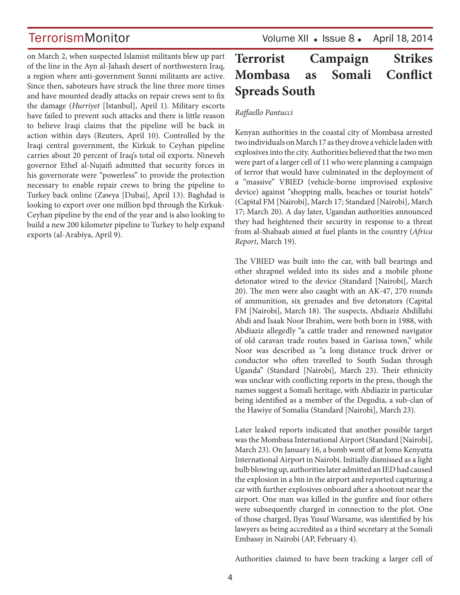on March 2, when suspected Islamist militants blew up part of the line in the Ayn al-Jahash desert of northwestern Iraq, a region where anti-government Sunni militants are active. Since then, saboteurs have struck the line three more times and have mounted deadly attacks on repair crews sent to fix the damage (*Hurriyet* [Istanbul], April 1). Military escorts have failed to prevent such attacks and there is little reason to believe Iraqi claims that the pipeline will be back in action within days (Reuters, April 10). Controlled by the Iraqi central government, the Kirkuk to Ceyhan pipeline carries about 20 percent of Iraq's total oil exports. Nineveh governor Ethel al-Nujaifi admitted that security forces in his governorate were "powerless" to provide the protection necessary to enable repair crews to bring the pipeline to Turkey back online (Zawya [Dubai], April 13). Baghdad is looking to export over one million bpd through the Kirkuk-Ceyhan pipeline by the end of the year and is also looking to build a new 200 kilometer pipeline to Turkey to help expand exports (al-Arabiya, April 9).

TerrorismMonitor Volume XII + Issue 8 + April 18, 2014

# **Terrorist Campaign Strikes Mombasa as Somali Conflict Spreads South**

### *Raffaello Pantucci*

Kenyan authorities in the coastal city of Mombasa arrested two individuals on March 17 as they drove a vehicle laden with explosives into the city. Authorities believed that the two men were part of a larger cell of 11 who were planning a campaign of terror that would have culminated in the deployment of a "massive" VBIED (vehicle-borne improvised explosive device) against "shopping malls, beaches or tourist hotels" (Capital FM [Nairobi], March 17; Standard [Nairobi], March 17; March 20). A day later, Ugandan authorities announced they had heightened their security in response to a threat from al-Shabaab aimed at fuel plants in the country (*Africa Report*, March 19).

The VBIED was built into the car, with ball bearings and other shrapnel welded into its sides and a mobile phone detonator wired to the device (Standard [Nairobi], March 20). The men were also caught with an AK-47, 270 rounds of ammunition, six grenades and five detonators (Capital FM [Nairobi], March 18). The suspects, Abdiaziz Abdillahi Abdi and Isaak Noor Ibrahim, were both born in 1988, with Abdiaziz allegedly "a cattle trader and renowned navigator of old caravan trade routes based in Garissa town," while Noor was described as "a long distance truck driver or conductor who often travelled to South Sudan through Uganda" (Standard [Nairobi], March 23). Their ethnicity was unclear with conflicting reports in the press, though the names suggest a Somali heritage, with Abdiaziz in particular being identified as a member of the Degodia, a sub-clan of the Hawiye of Somalia (Standard [Nairobi], March 23).

Later leaked reports indicated that another possible target was the Mombasa International Airport (Standard [Nairobi], March 23). On January 16, a bomb went off at Jomo Kenyatta International Airport in Nairobi. Initially dismissed as a light bulb blowing up, authorities later admitted an IED had caused the explosion in a bin in the airport and reported capturing a car with further explosives onboard after a shootout near the airport. One man was killed in the gunfire and four others were subsequently charged in connection to the plot. One of those charged, Ilyas Yusuf Warsame, was identified by his lawyers as being accredited as a third secretary at the Somali Embassy in Nairobi (AP, February 4).

Authorities claimed to have been tracking a larger cell of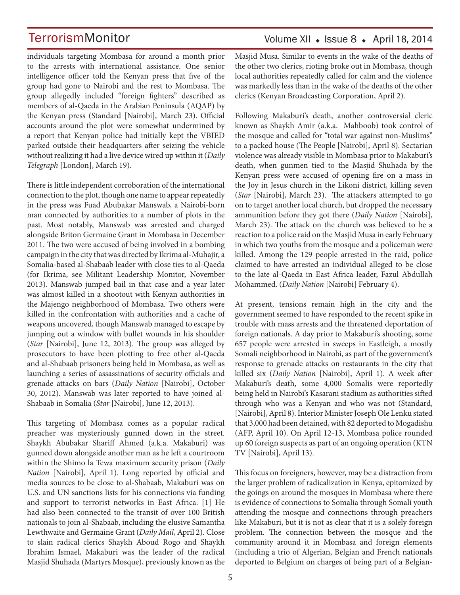individuals targeting Mombasa for around a month prior to the arrests with international assistance. One senior intelligence officer told the Kenyan press that five of the group had gone to Nairobi and the rest to Mombasa. The group allegedly included "foreign fighters" described as members of al-Qaeda in the Arabian Peninsula (AQAP) by the Kenyan press (Standard [Nairobi], March 23). Official accounts around the plot were somewhat undermined by a report that Kenyan police had initially kept the VBIED parked outside their headquarters after seizing the vehicle without realizing it had a live device wired up within it (*Daily Telegraph* [London], March 19).

There is little independent corroboration of the international connection to the plot, though one name to appear repeatedly in the press was Fuad Abubakar Manswab, a Nairobi-born man connected by authorities to a number of plots in the past. Most notably, Manswab was arrested and charged alongside Briton Germaine Grant in Mombasa in December 2011. The two were accused of being involved in a bombing campaign in the city that was directed by Ikrima al-Muhajir, a Somalia-based al-Shabaab leader with close ties to al-Qaeda (for Ikrima, see Militant Leadership Monitor, November 2013). Manswab jumped bail in that case and a year later was almost killed in a shootout with Kenyan authorities in the Majengo neighborhood of Mombasa. Two others were killed in the confrontation with authorities and a cache of weapons uncovered, though Manswab managed to escape by jumping out a window with bullet wounds in his shoulder (*Star* [Nairobi], June 12, 2013). The group was alleged by prosecutors to have been plotting to free other al-Qaeda and al-Shabaab prisoners being held in Mombasa, as well as launching a series of assassinations of security officials and grenade attacks on bars (*Daily Nation* [Nairobi], October 30, 2012). Manswab was later reported to have joined al-Shabaab in Somalia (*Star* [Nairobi], June 12, 2013).

This targeting of Mombasa comes as a popular radical preacher was mysteriously gunned down in the street. Shaykh Abubakar Shariff Ahmed (a.k.a. Makaburi) was gunned down alongside another man as he left a courtroom within the Shimo la Tewa maximum security prison (*Daily Nation* [Nairobi], April 1). Long reported by official and media sources to be close to al-Shabaab, Makaburi was on U.S. and UN sanctions lists for his connections via funding and support to terrorist networks in East Africa. [1] He had also been connected to the transit of over 100 British nationals to join al-Shabaab, including the elusive Samantha Lewthwaite and Germaine Grant (*Daily Mail*, April 2). Close to slain radical clerics Shaykh Aboud Rogo and Shaykh Ibrahim Ismael, Makaburi was the leader of the radical Masjid Shuhada (Martyrs Mosque), previously known as the

# Volume XII  $\bullet$  Issue 8  $\bullet$  April 18, 2014

Masjid Musa. Similar to events in the wake of the deaths of the other two clerics, rioting broke out in Mombasa, though local authorities repeatedly called for calm and the violence was markedly less than in the wake of the deaths of the other clerics (Kenyan Broadcasting Corporation, April 2).

Following Makaburi's death, another controversial cleric known as Shaykh Amir (a.k.a. Mahboob) took control of the mosque and called for "total war against non-Muslims" to a packed house (The People [Nairobi], April 8). Sectarian violence was already visible in Mombasa prior to Makaburi's death, when gunmen tied to the Masjid Shuhada by the Kenyan press were accused of opening fire on a mass in the Joy in Jesus church in the Likoni district, killing seven (*Star* [Nairobi], March 23). The attackers attempted to go on to target another local church, but dropped the necessary ammunition before they got there (*Daily Nation* [Nairobi], March 23). The attack on the church was believed to be a reaction to a police raid on the Masjid Musa in early February in which two youths from the mosque and a policeman were killed. Among the 129 people arrested in the raid, police claimed to have arrested an individual alleged to be close to the late al-Qaeda in East Africa leader, Fazul Abdullah Mohammed. (*Daily Nation* [Nairobi] February 4).

At present, tensions remain high in the city and the government seemed to have responded to the recent spike in trouble with mass arrests and the threatened deportation of foreign nationals. A day prior to Makaburi's shooting, some 657 people were arrested in sweeps in Eastleigh, a mostly Somali neighborhood in Nairobi, as part of the government's response to grenade attacks on restaurants in the city that killed six (*Daily Nation* [Nairobi], April 1). A week after Makaburi's death, some 4,000 Somalis were reportedly being held in Nairobi's Kasarani stadium as authorities sifted through who was a Kenyan and who was not (Standard, [Nairobi], April 8). Interior Minister Joseph Ole Lenku stated that 3,000 had been detained, with 82 deported to Mogadishu (AFP, April 10). On April 12-13, Mombasa police rounded up 60 foreign suspects as part of an ongoing operation (KTN TV [Nairobi], April 13).

This focus on foreigners, however, may be a distraction from the larger problem of radicalization in Kenya, epitomized by the goings on around the mosques in Mombasa where there is evidence of connections to Somalia through Somali youth attending the mosque and connections through preachers like Makaburi, but it is not as clear that it is a solely foreign problem. The connection between the mosque and the community around it in Mombasa and foreign elements (including a trio of Algerian, Belgian and French nationals deported to Belgium on charges of being part of a Belgian-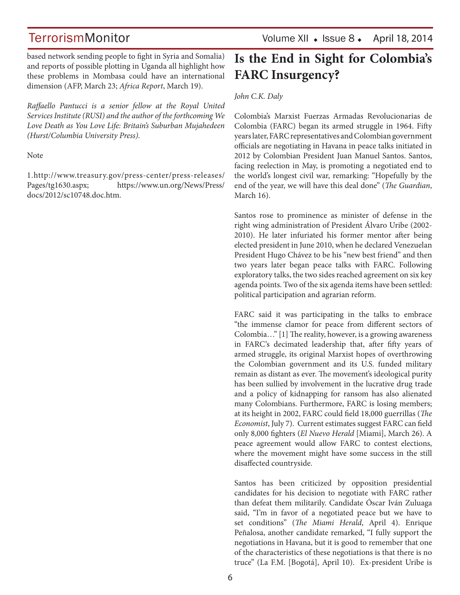based network sending people to fight in Syria and Somalia) and reports of possible plotting in Uganda all highlight how these problems in Mombasa could have an international dimension (AFP, March 23; *Africa Report*, March 19).

*Raffaello Pantucci is a senior fellow at the Royal United Services Institute (RUSI) and the author of the forthcoming We Love Death as You Love Life: Britain's Suburban Mujahedeen (Hurst/Columbia University Press).*

Note

1.http://www.treasury.gov/press-center/press-releases/ Pages/tg1630.aspx; https://www.un.org/News/Press/ docs/2012/sc10748.doc.htm.

# **Is the End in Sight for Colombia's FARC Insurgency?**

*John C.K. Daly* 

Colombia's Marxist Fuerzas Armadas Revolucionarias de Colombia (FARC) began its armed struggle in 1964. Fifty years later, FARC representatives and Colombian government officials are negotiating in Havana in peace talks initiated in 2012 by Colombian President Juan Manuel Santos. Santos, facing reelection in May, is promoting a negotiated end to the world's longest civil war, remarking: "Hopefully by the end of the year, we will have this deal done" (*The Guardian*, March 16).

Santos rose to prominence as minister of defense in the right wing administration of President Álvaro Uribe (2002- 2010). He later infuriated his former mentor after being elected president in June 2010, when he declared Venezuelan President Hugo Chávez to be his "new best friend" and then two years later began peace talks with FARC. Following exploratory talks, the two sides reached agreement on six key agenda points. Two of the six agenda items have been settled: political participation and agrarian reform.

FARC said it was participating in the talks to embrace "the immense clamor for peace from different sectors of Colombia…" [1] The reality, however, is a growing awareness in FARC's decimated leadership that, after fifty years of armed struggle, its original Marxist hopes of overthrowing the Colombian government and its U.S. funded military remain as distant as ever. The movement's ideological purity has been sullied by involvement in the lucrative drug trade and a policy of kidnapping for ransom has also alienated many Colombians. Furthermore, FARC is losing members; at its height in 2002, FARC could field 18,000 guerrillas (*The Economist*, July 7). Current estimates suggest FARC can field only 8,000 fighters (*El Nuevo Herald* [Miami], March 26). A peace agreement would allow FARC to contest elections, where the movement might have some success in the still disaffected countryside.

Santos has been criticized by opposition presidential candidates for his decision to negotiate with FARC rather than defeat them militarily. Candidate Óscar Iván Zuluaga said, "I'm in favor of a negotiated peace but we have to set conditions" (*The Miami Herald*, April 4). Enrique Peñalosa, another candidate remarked, "I fully support the negotiations in Havana, but it is good to remember that one of the characteristics of these negotiations is that there is no truce" (La F.M. [Bogotá], April 10). Ex-president Uribe is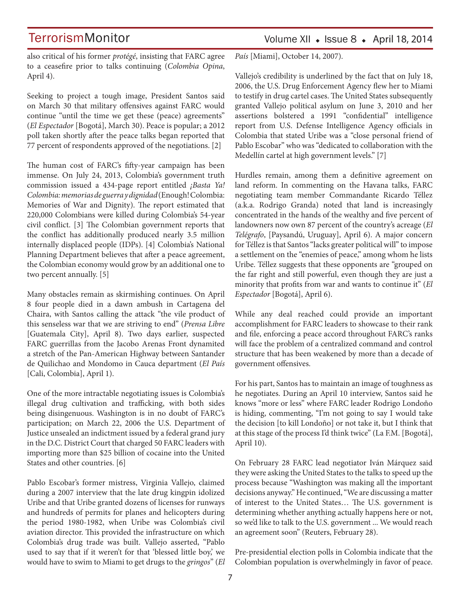# Volume XII  $\bullet$  Issue 8  $\bullet$  April 18, 2014

also critical of his former *protégé*, insisting that FARC agree to a ceasefire prior to talks continuing (*Colombia Opina*, April 4).

Seeking to project a tough image, President Santos said on March 30 that military offensives against FARC would continue "until the time we get these (peace) agreements" (*El Espectador* [Bogotá], March 30). Peace is popular; a 2012 poll taken shortly after the peace talks began reported that 77 percent of respondents approved of the negotiations. [2]

The human cost of FARC's fifty-year campaign has been immense. On July 24, 2013, Colombia's government truth commission issued a 434-page report entitled *¡Basta Ya! Colombia: memorias de guerra y dignidad* (Enough! Colombia: Memories of War and Dignity). The report estimated that 220,000 Colombians were killed during Colombia's 54-year civil conflict. [3] The Colombian government reports that the conflict has additionally produced nearly 3.5 million internally displaced people (IDPs). [4] Colombia's National Planning Department believes that after a peace agreement, the Colombian economy would grow by an additional one to two percent annually. [5]

Many obstacles remain as skirmishing continues. On April 8 four people died in a dawn ambush in Cartagena del Chaira, with Santos calling the attack "the vile product of this senseless war that we are striving to end" (*Prensa Libre*  [Guatemala City], April 8). Two days earlier, suspected FARC guerrillas from the Jacobo Arenas Front dynamited a stretch of the Pan-American Highway between Santander de Quilichao and Mondomo in Cauca department (*El País*  [Cali, Colombia], April 1).

One of the more intractable negotiating issues is Colombia's illegal drug cultivation and trafficking, with both sides being disingenuous. Washington is in no doubt of FARC's participation; on March 22, 2006 the U.S. Department of Justice unsealed an indictment issued by a federal grand jury in the D.C. District Court that charged 50 FARC leaders with importing more than \$25 billion of cocaine into the United States and other countries. [6]

Pablo Escobar's former mistress, Virginia Vallejo, claimed during a 2007 interview that the late drug kingpin idolized Uribe and that Uribe granted dozens of licenses for runways and hundreds of permits for planes and helicopters during the period 1980-1982, when Uribe was Colombia's civil aviation director. This provided the infrastructure on which Colombia's drug trade was built. Vallejo asserted, "Pablo used to say that if it weren't for that 'blessed little boy,' we would have to swim to Miami to get drugs to the *gringos*" (*El*  *País* [Miami], October 14, 2007).

Vallejo's credibility is underlined by the fact that on July 18, 2006, the U.S. Drug Enforcement Agency flew her to Miami to testify in drug cartel cases. The United States subsequently granted Vallejo political asylum on June 3, 2010 and her assertions bolstered a 1991 "confidential" intelligence report from U.S. Defense Intelligence Agency officials in Colombia that stated Uribe was a "close personal friend of Pablo Escobar" who was "dedicated to collaboration with the Medellín cartel at high government levels." [7]

Hurdles remain, among them a definitive agreement on land reform. In commenting on the Havana talks, FARC negotiating team member Commandante Ricardo Téllez (a.k.a. Rodrigo Granda) noted that land is increasingly concentrated in the hands of the wealthy and five percent of landowners now own 87 percent of the country's acreage (*El Telégrafo*, [Paysandú, Uruguay], April 6). A major concern for Téllez is that Santos "lacks greater political will" to impose a settlement on the "enemies of peace," among whom he lists Uribe. Téllez suggests that these opponents are "grouped on the far right and still powerful, even though they are just a minority that profits from war and wants to continue it" (*El Espectador* [Bogotá], April 6).

While any deal reached could provide an important accomplishment for FARC leaders to showcase to their rank and file, enforcing a peace accord throughout FARC's ranks will face the problem of a centralized command and control structure that has been weakened by more than a decade of government offensives.

For his part, Santos has to maintain an image of toughness as he negotiates. During an April 10 interview, Santos said he knows "more or less" where FARC leader Rodrigo Londoño is hiding, commenting, "I'm not going to say I would take the decision [to kill Londoño] or not take it, but I think that at this stage of the process I'd think twice" (La F.M. [Bogotá], April 10).

On February 28 FARC lead negotiator Iván Márquez said they were asking the United States to the talks to speed up the process because "Washington was making all the important decisions anyway." He continued, "We are discussing a matter of interest to the United States… The U.S. government is determining whether anything actually happens here or not, so we'd like to talk to the U.S. government ... We would reach an agreement soon" (Reuters, February 28).

Pre-presidential election polls in Colombia indicate that the Colombian population is overwhelmingly in favor of peace.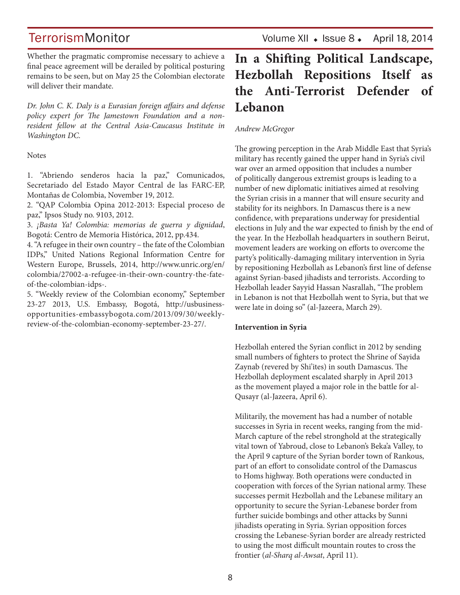TerrorismMonitor Volume XII + Issue 8 + April 18, 2014

Whether the pragmatic compromise necessary to achieve a final peace agreement will be derailed by political posturing remains to be seen, but on May 25 the Colombian electorate will deliver their mandate.

*Dr. John C. K. Daly is a Eurasian foreign affairs and defense policy expert for The Jamestown Foundation and a nonresident fellow at the Central Asia-Caucasus Institute in Washington DC.*

Notes

1. "Abriendo senderos hacia la paz," Comunicados, Secretariado del Estado Mayor Central de las FARC-EP, Montañas de Colombia, November 19, 2012.

2. "QAP Colombia Opina 2012-2013: Especial proceso de paz," Ipsos Study no. 9103, 2012.

3. *¡Basta Ya! Colombia: memorias de guerra y dignidad*, Bogotá: Centro de Memoria Histórica, 2012, pp.434.

4. "A refugee in their own country – the fate of the Colombian IDPs," United Nations Regional Information Centre for Western Europe, Brussels, 2014, http://www.unric.org/en/ colombia/27002-a-refugee-in-their-own-country-the-fateof-the-colombian-idps-.

5. "Weekly review of the Colombian economy," September 23-27 2013, U.S. Embassy, Bogotá, http://usbusinessopportunities-embassybogota.com/2013/09/30/weeklyreview-of-the-colombian-economy-september-23-27/.

# **In a Shifting Political Landscape, Hezbollah Repositions Itself as the Anti-Terrorist Defender of Lebanon**

*Andrew McGregor* 

The growing perception in the Arab Middle East that Syria's military has recently gained the upper hand in Syria's civil war over an armed opposition that includes a number of politically dangerous extremist groups is leading to a number of new diplomatic initiatives aimed at resolving the Syrian crisis in a manner that will ensure security and stability for its neighbors. In Damascus there is a new confidence, with preparations underway for presidential elections in July and the war expected to finish by the end of the year. In the Hezbollah headquarters in southern Beirut, movement leaders are working on efforts to overcome the party's politically-damaging military intervention in Syria by repositioning Hezbollah as Lebanon's first line of defense against Syrian-based jihadists and terrorists. According to Hezbollah leader Sayyid Hassan Nasrallah, "The problem in Lebanon is not that Hezbollah went to Syria, but that we were late in doing so" (al-Jazeera, March 29).

#### **Intervention in Syria**

Hezbollah entered the Syrian conflict in 2012 by sending small numbers of fighters to protect the Shrine of Sayida Zaynab (revered by Shi'ites) in south Damascus. The Hezbollah deployment escalated sharply in April 2013 as the movement played a major role in the battle for al-Qusayr (al-Jazeera, April 6).

Militarily, the movement has had a number of notable successes in Syria in recent weeks, ranging from the mid-March capture of the rebel stronghold at the strategically vital town of Yabroud, close to Lebanon's Beka'a Valley, to the April 9 capture of the Syrian border town of Rankous, part of an effort to consolidate control of the Damascus to Homs highway. Both operations were conducted in cooperation with forces of the Syrian national army. These successes permit Hezbollah and the Lebanese military an opportunity to secure the Syrian-Lebanese border from further suicide bombings and other attacks by Sunni jihadists operating in Syria. Syrian opposition forces crossing the Lebanese-Syrian border are already restricted to using the most difficult mountain routes to cross the frontier (*al-Sharq al-Awsat*, April 11).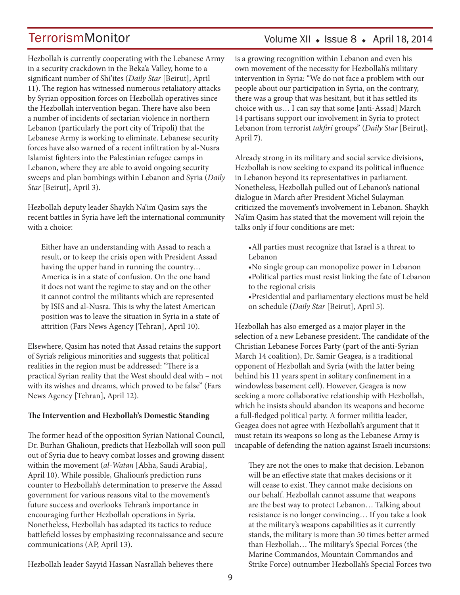Hezbollah is currently cooperating with the Lebanese Army in a security crackdown in the Beka'a Valley, home to a significant number of Shi'ites (*Daily Star* [Beirut], April 11). The region has witnessed numerous retaliatory attacks by Syrian opposition forces on Hezbollah operatives since the Hezbollah intervention began. There have also been a number of incidents of sectarian violence in northern Lebanon (particularly the port city of Tripoli) that the Lebanese Army is working to eliminate. Lebanese security forces have also warned of a recent infiltration by al-Nusra Islamist fighters into the Palestinian refugee camps in Lebanon, where they are able to avoid ongoing security sweeps and plan bombings within Lebanon and Syria (*Daily Star* [Beirut], April 3).

Hezbollah deputy leader Shaykh Na'im Qasim says the recent battles in Syria have left the international community with a choice:

Either have an understanding with Assad to reach a result, or to keep the crisis open with President Assad having the upper hand in running the country… America is in a state of confusion. On the one hand it does not want the regime to stay and on the other it cannot control the militants which are represented by ISIS and al-Nusra. This is why the latest American position was to leave the situation in Syria in a state of attrition (Fars News Agency [Tehran], April 10).

Elsewhere, Qasim has noted that Assad retains the support of Syria's religious minorities and suggests that political realities in the region must be addressed: "There is a practical Syrian reality that the West should deal with – not with its wishes and dreams, which proved to be false" (Fars News Agency [Tehran], April 12).

### **The Intervention and Hezbollah's Domestic Standing**

The former head of the opposition Syrian National Council, Dr. Burhan Ghalioun, predicts that Hezbollah will soon pull out of Syria due to heavy combat losses and growing dissent within the movement (*al-Watan* [Abha, Saudi Arabia], April 10). While possible, Ghalioun's prediction runs counter to Hezbollah's determination to preserve the Assad government for various reasons vital to the movement's future success and overlooks Tehran's importance in encouraging further Hezbollah operations in Syria. Nonetheless, Hezbollah has adapted its tactics to reduce battlefield losses by emphasizing reconnaissance and secure communications (AP, April 13).

# Volume XII  $\bullet$  Issue 8  $\bullet$  April 18, 2014

is a growing recognition within Lebanon and even his own movement of the necessity for Hezbollah's military intervention in Syria: "We do not face a problem with our people about our participation in Syria, on the contrary, there was a group that was hesitant, but it has settled its choice with us… I can say that some [anti-Assad] March 14 partisans support our involvement in Syria to protect Lebanon from terrorist *takfiri* groups" (*Daily Star* [Beirut], April 7).

Already strong in its military and social service divisions, Hezbollah is now seeking to expand its political influence in Lebanon beyond its representatives in parliament. Nonetheless, Hezbollah pulled out of Lebanon's national dialogue in March after President Michel Sulayman criticized the movement's involvement in Lebanon. Shaykh Na'im Qasim has stated that the movement will rejoin the talks only if four conditions are met:

•All parties must recognize that Israel is a threat to Lebanon

- •No single group can monopolize power in Lebanon
- •Political parties must resist linking the fate of Lebanon to the regional crisis

•Presidential and parliamentary elections must be held on schedule (*Daily Star* [Beirut], April 5).

Hezbollah has also emerged as a major player in the selection of a new Lebanese president. The candidate of the Christian Lebanese Forces Party (part of the anti-Syrian March 14 coalition), Dr. Samir Geagea, is a traditional opponent of Hezbollah and Syria (with the latter being behind his 11 years spent in solitary confinement in a windowless basement cell). However, Geagea is now seeking a more collaborative relationship with Hezbollah, which he insists should abandon its weapons and become a full-fledged political party. A former militia leader, Geagea does not agree with Hezbollah's argument that it must retain its weapons so long as the Lebanese Army is incapable of defending the nation against Israeli incursions:

They are not the ones to make that decision. Lebanon will be an effective state that makes decisions or it will cease to exist. They cannot make decisions on our behalf. Hezbollah cannot assume that weapons are the best way to protect Lebanon… Talking about resistance is no longer convincing… If you take a look at the military's weapons capabilities as it currently stands, the military is more than 50 times better armed than Hezbollah… The military's Special Forces (the Marine Commandos, Mountain Commandos and Strike Force) outnumber Hezbollah's Special Forces two

Hezbollah leader Sayyid Hassan Nasrallah believes there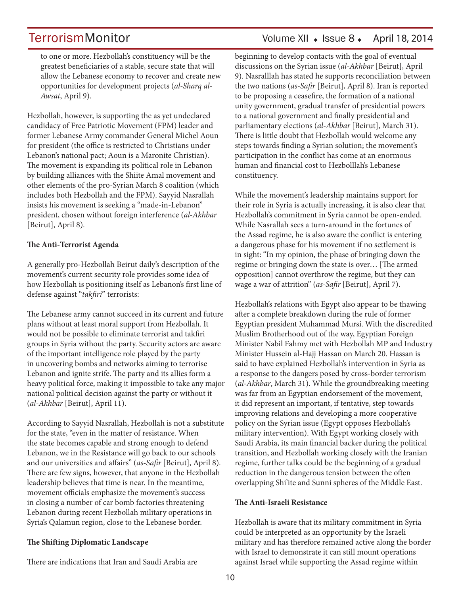to one or more. Hezbollah's constituency will be the greatest beneficiaries of a stable, secure state that will allow the Lebanese economy to recover and create new opportunities for development projects (*al-Sharq al-Awsat*, April 9).

Hezbollah, however, is supporting the as yet undeclared candidacy of Free Patriotic Movement (FPM) leader and former Lebanese Army commander General Michel Aoun for president (the office is restricted to Christians under Lebanon's national pact; Aoun is a Maronite Christian). The movement is expanding its political role in Lebanon by building alliances with the Shiite Amal movement and other elements of the pro-Syrian March 8 coalition (which includes both Hezbollah and the FPM). Sayyid Nasrallah insists his movement is seeking a "made-in-Lebanon" president, chosen without foreign interference (*al-Akhbar* [Beirut], April 8).

### **The Anti-Terrorist Agenda**

A generally pro-Hezbollah Beirut daily's description of the movement's current security role provides some idea of how Hezbollah is positioning itself as Lebanon's first line of defense against "*takfiri*" terrorists:

The Lebanese army cannot succeed in its current and future plans without at least moral support from Hezbollah. It would not be possible to eliminate terrorist and takfiri groups in Syria without the party. Security actors are aware of the important intelligence role played by the party in uncovering bombs and networks aiming to terrorise Lebanon and ignite strife. The party and its allies form a heavy political force, making it impossible to take any major national political decision against the party or without it (*al-Akhbar* [Beirut], April 11).

According to Sayyid Nasrallah, Hezbollah is not a substitute for the state, "even in the matter of resistance. When the state becomes capable and strong enough to defend Lebanon, we in the Resistance will go back to our schools and our universities and affairs" (*as-Safir* [Beirut], April 8). There are few signs, however, that anyone in the Hezbollah leadership believes that time is near. In the meantime, movement officials emphasize the movement's success in closing a number of car bomb factories threatening Lebanon during recent Hezbollah military operations in Syria's Qalamun region, close to the Lebanese border.

### **The Shifting Diplomatic Landscape**

There are indications that Iran and Saudi Arabia are

# TerrorismMonitor Volume XII + Issue 8 + April 18, 2014

beginning to develop contacts with the goal of eventual discussions on the Syrian issue (*al-Akhbar* [Beirut], April 9). Nasralllah has stated he supports reconciliation between the two nations (*as-Safir* [Beirut], April 8). Iran is reported to be proposing a ceasefire, the formation of a national unity government, gradual transfer of presidential powers to a national government and finally presidential and parliamentary elections (*al-Akhbar* [Beirut], March 31). There is little doubt that Hezbollah would welcome any steps towards finding a Syrian solution; the movement's participation in the conflict has come at an enormous human and financial cost to Hezbolllah's Lebanese constituency.

While the movement's leadership maintains support for their role in Syria is actually increasing, it is also clear that Hezbollah's commitment in Syria cannot be open-ended. While Nasrallah sees a turn-around in the fortunes of the Assad regime, he is also aware the conflict is entering a dangerous phase for his movement if no settlement is in sight: "In my opinion, the phase of bringing down the regime or bringing down the state is over… [The armed opposition] cannot overthrow the regime, but they can wage a war of attrition" (*as-Safir* [Beirut], April 7).

Hezbollah's relations with Egypt also appear to be thawing after a complete breakdown during the rule of former Egyptian president Muhammad Mursi. With the discredited Muslim Brotherhood out of the way, Egyptian Foreign Minister Nabil Fahmy met with Hezbollah MP and Industry Minister Hussein al-Hajj Hassan on March 20. Hassan is said to have explained Hezbollah's intervention in Syria as a response to the dangers posed by cross-border terrorism (*al-Akhbar*, March 31). While the groundbreaking meeting was far from an Egyptian endorsement of the movement, it did represent an important, if tentative, step towards improving relations and developing a more cooperative policy on the Syrian issue (Egypt opposes Hezbollah's military intervention). With Egypt working closely with Saudi Arabia, its main financial backer during the political transition, and Hezbollah working closely with the Iranian regime, further talks could be the beginning of a gradual reduction in the dangerous tension between the often overlapping Shi'ite and Sunni spheres of the Middle East.

#### **The Anti-Israeli Resistance**

Hezbollah is aware that its military commitment in Syria could be interpreted as an opportunity by the Israeli military and has therefore remained active along the border with Israel to demonstrate it can still mount operations against Israel while supporting the Assad regime within